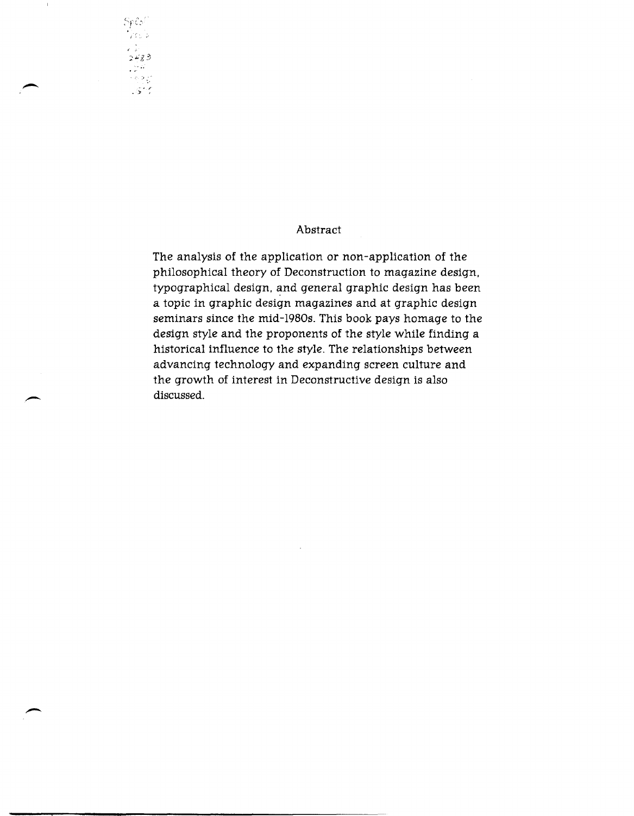## Abstract

The analysis of the application or non-application of the philosophical theory of Deconstruction to magazine design. typographical design, and general graphic design has been a topic in graphic design magazines and at graphic design seminars since the mid-1980s. This book pays homage to the design style and the proponents of the style while finding a historical influence to the style. The relationships between advancing technology and expanding screen culture and the growth of interest in Deconstructive design is also discussed.

-

, .; ::-;..'g3

 $Sp\mathcal{C}^{\mathcal{A}}$ )<br>76 b

- . , . '" ,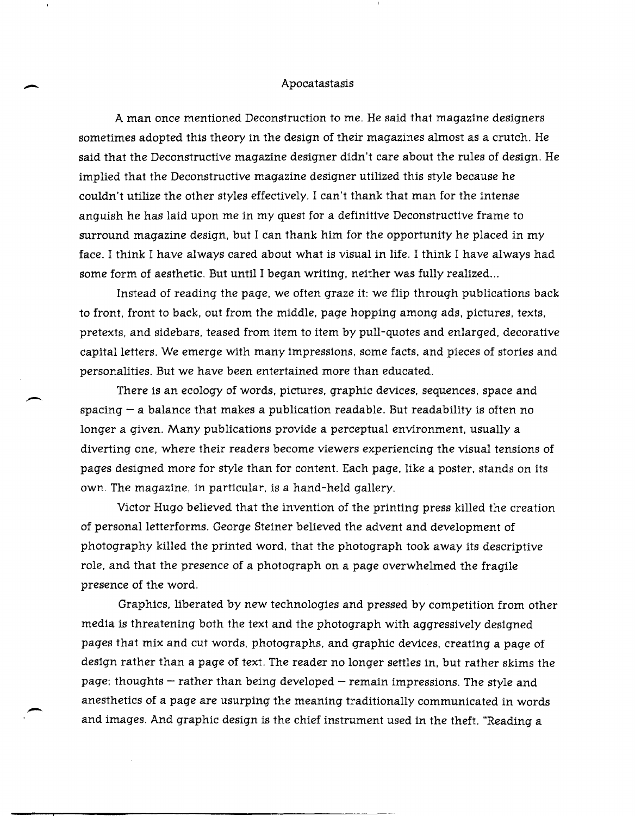## Apocatastasis

 $\overline{\phantom{a}}$ 

 $\overline{\phantom{0}}$ 

 $\overline{\phantom{0}}$ 

A man once mentioned Deconstruction to me. He said that magazine designers sometimes adopted this theory in the design of their magazines almost as a crutch. He said that the Deconstructive magazine designer didn't care about the rules of design. He implied that the Deconstructive magazine designer utilized this style because he couldn't utilize the other styles effectively. I can't thank that man for the intense anguish he has laid upon me in my quest for a definitive Deconstructive frame to surround magazine design, but I can thank him for the opportunity he placed in my face. I think I have always cared about what is visual in life. I think I have always had some form of aesthetic. But until I began writing, neither was fully realized...

Instead of reading the page, we often graze it: we flip through publications back to front, front to back, out from the middle, page hopping among ads, pictures, texts, pretexts, and sidebars, teased from item to item by pull-quotes and enlarged, decorative capital letters. We emerge with many impressions, some facts, and pieces of stories and personalities. But we have been entertained more than educated.

There is an ecology of words, pictures, graphic devices, sequences, space and spacing  $-a$  balance that makes a publication readable. But readability is often no longer a given. Many publications provide a perceptual environment, usually a diverting one, where their readers become viewers experiencing the visual tensions of pages designed more for style than for content. Each page, like a poster, stands on its own. The magazine, in particular, is a hand-held gallery.

Victor Hugo believed that the invention of the printing press killed the creation of personalletterforms. George Steiner believed the advent and development of photography killed the printed word, that the photograph took away its descriptive role, and that the presence of a photograph on a page overwhelmed the fragile presence of the word.

GraphicS, liberated by new technologies and pressed by competition from other media is threatening both the text and the photograph with aggressively designed pages that mix and cut words, photographs, and graphic devices, creating a page of design rather than a page of text. The reader no longer settles in, but rather skims the page; thoughts  $-$  rather than being developed  $-$  remain impressions. The style and anesthetics of a page are usurping the meaning traditionally communicated in words and images. And graphic design is the chief instrument used in the theft. "Reading a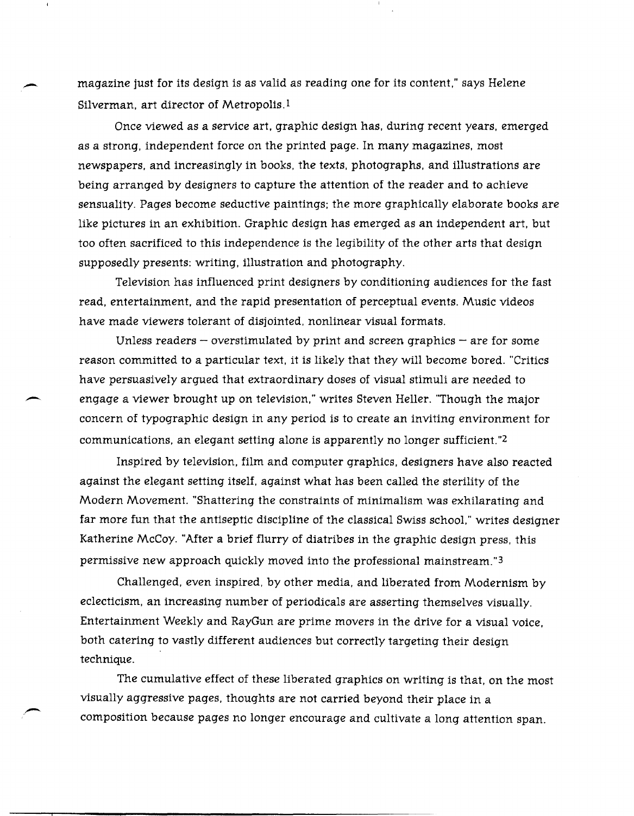magazine just for its design is as valid as reading one for its content," says Helene Silverman, art director of Metropolis.<sup>1</sup>

Once viewed as a service art, graphic design has, during recent years, emerged as a strong, independent force on the printed page. In many magazines, most newspapers, and increasingly in books, the texts, photographs, and illustrations are being arranged by designers to capture the attention of the reader and to achieve sensuality. Pages become seductive paintings; the more graphically elaborate books are like pictures in an exhibition. Graphic design has emerged as an independent art, but too often sacrificed to this independence is the legibility of the other arts that design supposedly presents: writing, illustration and photography.

Television has influenced print designers by conditioning audiences for the fast read, entertainment, and the rapid presentation of perceptual events. Music videos have made viewers tolerant of disjointed, nonlinear visual formats.

Unless readers  $-$  overstimulated by print and screen graphics  $-$  are for some reason committed to a particular text, it is likely that they will become bored. "Critics have persuasively argued that extraordinary doses of visual stimuli are needed to engage a viewer brought up on television," writes Steven Heller. "Though the major concern of typographic design in any period is to create an inviting environment for communications, an elegant setting alone is apparently no longer sufficient."2

Inspired by television, film and computer graphics, designers have also reacted against the elegant setting itself, against what has been called the sterility of the Modern Movement. "Shattering the constraints of minimalism was exhilarating and far more fun that the antiseptic discipline of the classical Swiss school." writes designer Katherine McCoy. "After a brief flurry of diatribes in the graphic design press, this permissive new approach quickly moved into the professional mainstream."3

Challenged, even inspired, by other media, and liberated from Modernism by eclecticism, an increasing number of periodicals are asserting themselves visually. Entertainment Weekly and RayGun are prime movers in the drive for a visual voice, both catering to vastly different audiences but correctly targeting their design technique.

The cumulative effect of these liberated graphics on writing is that, on the most visually aggressive pages, thoughts are not carried beyond their place in a composition because pages no longer encourage and cultivate a long attention span.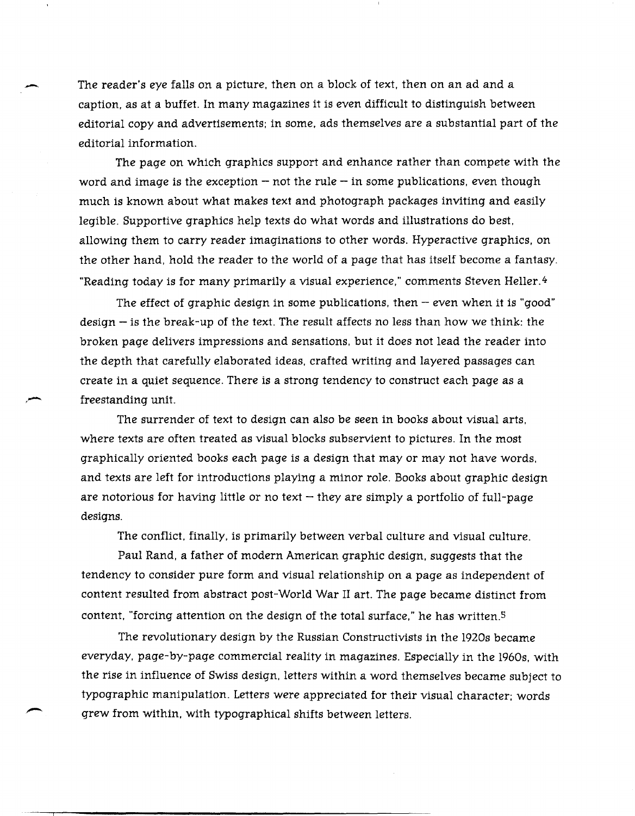The reader's eye falls on a picture, then on a block of text, then on an ad and a caption, as at a buffet. In many magazines it is even difficult to distinguish between editorial copy and advertisements; in some, ads themselves are a substantial part of the editorial information.

The page on which graphics support and enhance rather than compete with the word and image is the exception  $-$  not the rule  $-$  in some publications, even though much is known about what makes text and photograph packages inviting and easily legible. Supportive graphics help texts do what words and illustrations do best, allowing them to carry reader imaginations to other words. Hyperactive graphics, on the other hand, hold the reader to the world of a page that has itself become a fantasy. "Reading today is for many primarily a visual experience," comments Steven Heller.<sup>4</sup>

The effect of graphic design in some publications, then  $-$  even when it is "good" design  $-$  is the break-up of the text. The result affects no less than how we think: the broken page delivers impressions and sensations, but it does not lead the reader into the depth that carefully elaborated ideas, crafted writing and layered passages can create in a quiet sequence. There is a strong tendency to construct each page as a freestanding unit.

The surrender of text to design can also be seen in books about visual arts, where texts are often treated as visual blocks subservient to pictures. In the most graphically oriented books each page is a design that mayor may not have words, and texts are left for introductions playing a minor role. Books about graphic design are notorious for having little or no text  $-$  they are simply a portfolio of full-page designs.

The conflict, finally, is primarily between verbal culture and visual culture.

Paul Rand, a father of modern American graphic design, suggests that the tendency to consider pure form and visual relationship on a page as independent of content resulted from abstract post-World War II art. The page became distinct from content, "forcing attention on the design of the total surface," he has written.<sup>5</sup>

The revolutionary design by the Russian Constructivists in the 1920s became everyday, page-by-page commercial reality in magazines. Especially in the 1960s, with the rise in influence of Swiss design, letters within a word themselves became subject to typographic manipulation. Letters were appreciated for their visual character; words grew from within, with typographical shifts between letters.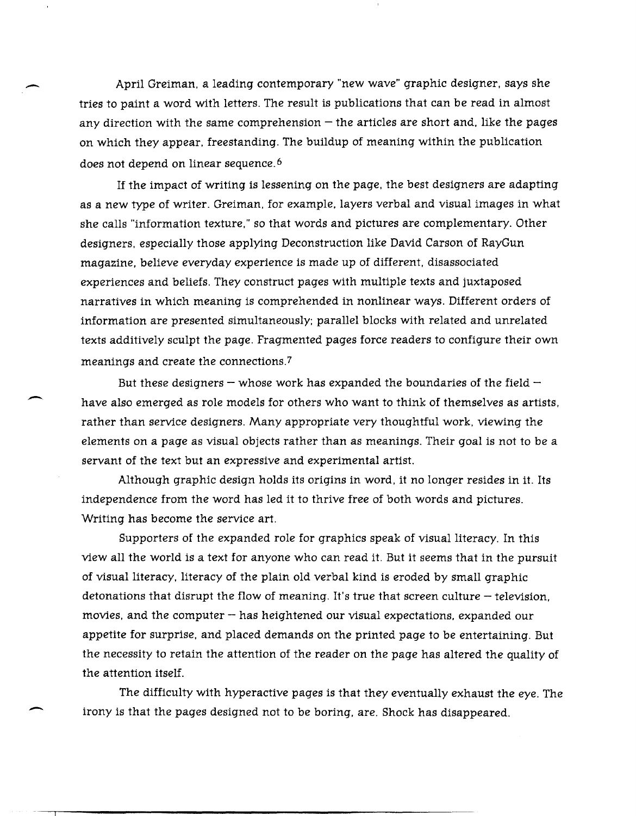April Greiman, a leading contemporary "new wave" graphic designer, says she tries to paint a word with letters. The result is publications that can be read in almost any direction with the same comprehension  $-$  the articles are short and, like the pages on which they appear, freestanding. The buildup of meaning within the publication does not depend on linear sequence. 6

-

 $\overline{\phantom{a}}$ 

-

If the impact of writing is lessening on the page, the best designers are adapting as a new type of writer. Greiman, for example, layers verbal and visual images in what she calls "information texture," so that words and pictures are complementary. Other designers, especially those applying Deconstruction like David Carson of RayGun magazine, believe everyday experience is made up of different, disassociated experiences and beliefs. They construct pages with multiple texts and juxtaposed narratives in which meaning is comprehended in nonlinear ways. Different orders of information are presented simultaneously; parallel blocks with related and unrelated texts additively sculpt the page. Fragmented pages force readers to configure their own meanings and create the connections.7

But these designers – whose work has expanded the boundaries of the field  $$ have also emerged as role models for others who want to think of themselves as artists, rather than service designers. Many appropriate very thoughtful work, viewing the elements on a page as visual objects rather than as meanings. Their goal is not to be a servant of the text but an expressive and experimental artist.

Although graphic design holds its origins in word, it no longer resides in it. Its independence from the word has led it to thrive free of both words and pictures. Writing has become the service art.

Supporters of the expanded role for graphics speak of visual literacy. In this view all the world is a text for anyone who can read it. But it seems that in the pursuit of visual literacy, literacy of the plain old verbal kind is eroded by small graphic detonations that disrupt the flow of meaning. It's true that screen culture  $-$  television, movies, and the computer  $-$  has heightened our visual expectations, expanded our appetite for surprise, and placed demands on the printed page to be entertaining. But the necessity to retain the attention of the reader on the page has altered the quality of the attention itself.

The difficulty with hyperactive pages is that they eventually exhaust the eye. The irony is that the pages designed not to be boring, are. Shock has disappeared.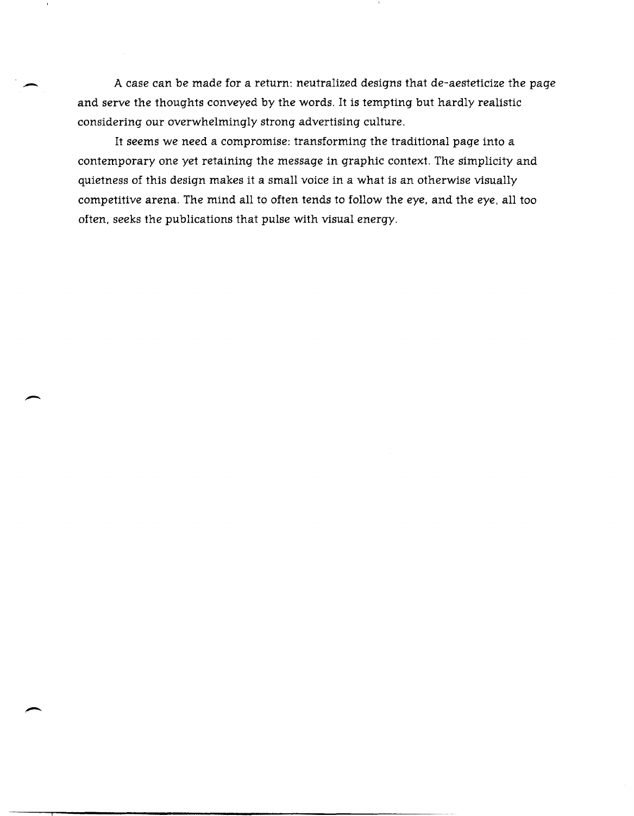A case can be made for a return: neutralized designs that de-aesteticize the page and serve the thoughts conveyed by the words. It is tempting but hardly realistic considering our overwhelmingly strong advertising culture.

It seems we need a compromise: transforming the traditional page into a contemporary one yet retaining the message in graphic context. The simplicity and quietness of this design makes it a small voice in a what is an otherwise visually competitive arena. The mind all to often tends to follow the eye, and the eye, all too often, seeks the publications that pulse with visual energy.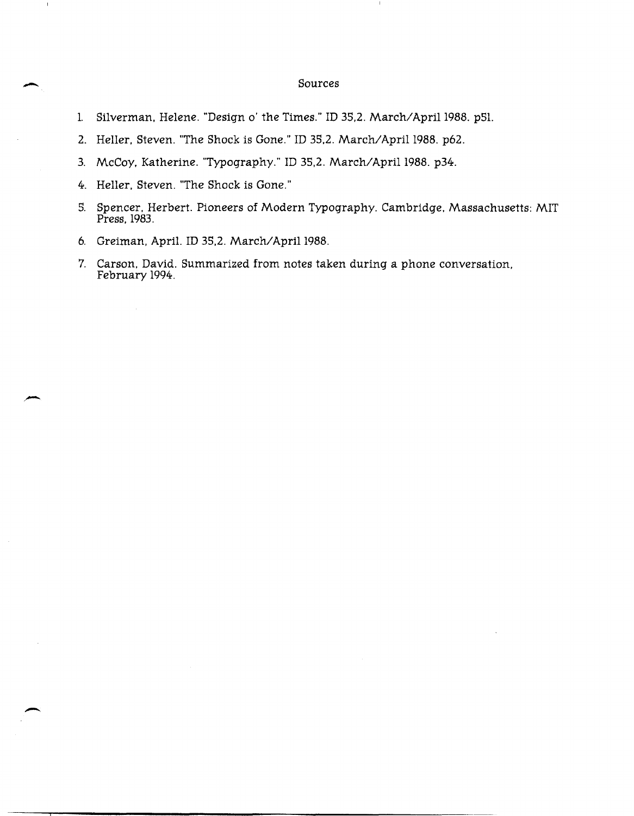## \_ Sources

- 1. Silverman, Helene. "Design o' the Times." ID 35,2. March/April 1988. p51.
- 2. Heller, Steven. "The Shock is Gone." ID 35,2. March/April 1988. p62.
- 3. McCoy, Katherine. "Typography." ID 35,2. March/April 1988. p34.
- 4. Heller, Steven. "The Shock is Gone."

 $\overline{\phantom{a}}$ 

- S. Spencer, Herbert. Pioneers of Modern Typography. Cambridge, Massachusetts: MIT Press, 1983.
- 6. Greiman, April. ID 35,2. March/April 1988.
- 7. Carson, David. Summarized from notes taken during a phone conversation, February 1994.